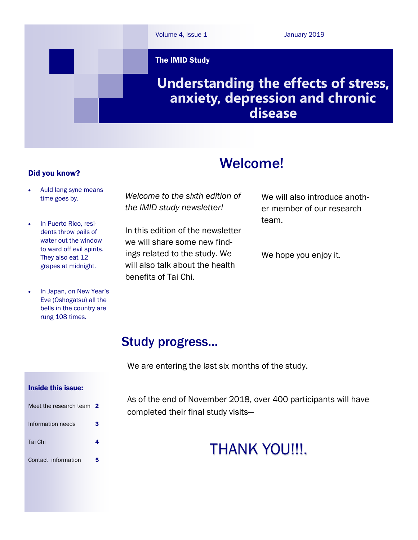

# Welcome!

### Did you know?

- Auld lang syne means time goes by.
- In Puerto Rico, residents throw pails of water out the window to ward off evil spirits. They also eat 12 grapes at midnight.
- In Japan, on New Year's Eve (Oshogatsu) all the bells in the country are rung 108 times.

*Welcome to the sixth edition of the IMID study newsletter!*

In this edition of the newsletter we will share some new findings related to the study. We will also talk about the health benefits of Tai Chi.

We will also introduce another member of our research team.

We hope you enjoy it.

# Study progress...

We are entering the last six months of the study.

### Inside this issue:

| Meet the research team 2 |   |
|--------------------------|---|
| Information needs        | 3 |
| Tai Chi                  |   |
| Contact information      | 5 |

As of the end of November 2018, over 400 participants will have completed their final study visits—

# THANK YOU!!!.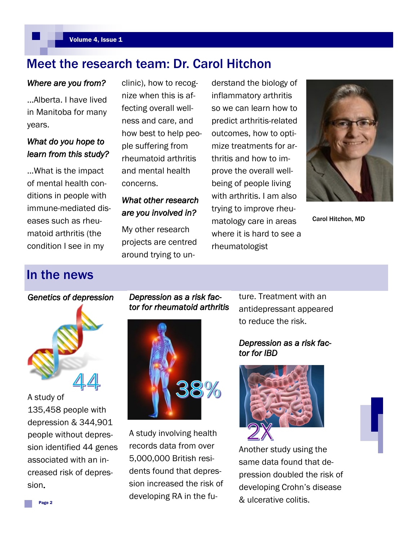# Meet the research team: Dr. Carol Hitchon

# *Where are you from?*

...Alberta. I have lived in Manitoba for many years.

# *What do you hope to learn from this study?*

...What is the impact of mental health conditions in people with immune-mediated diseases such as rheumatoid arthritis (the condition I see in my

clinic), how to recognize when this is affecting overall wellness and care, and how best to help people suffering from rheumatoid arthritis and mental health concerns.

# *What other research are you involved in?*

My other research projects are centred around trying to understand the biology of inflammatory arthritis so we can learn how to predict arthritis-related outcomes, how to optimize treatments for arthritis and how to improve the overall wellbeing of people living with arthritis. I am also trying to improve rheumatology care in areas where it is hard to see a rheumatologist



Carol Hitchon, MD

# In the news

# *Genetics of depression*

A study of 135,458 people with depression & 344,901 people without depression identified 44 genes associated with an increased risk of depression.

# *Depression as a risk factor for rheumatoid arthritis*



A study involving health records data from over 5,000,000 British residents found that depression increased the risk of developing RA in the future. Treatment with an antidepressant appeared to reduce the risk.

# *Depression as a risk factor for IBD*



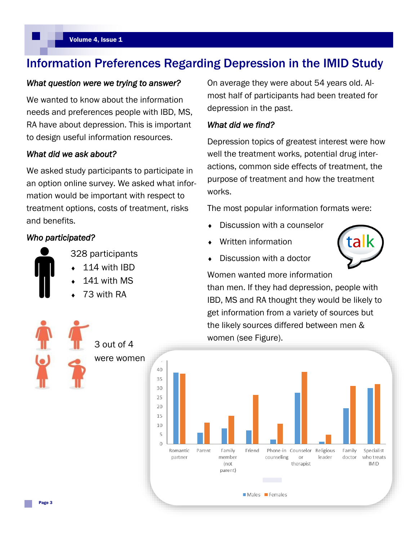# Information Preferences Regarding Depression in the IMID Study

### *What question were we trying to answer?*

We wanted to know about the information needs and preferences people with IBD, MS, RA have about depression. This is important to design useful information resources.

### *What did we ask about?*

We asked study participants to participate in an option online survey. We asked what information would be important with respect to treatment options, costs of treatment, risks and benefits.

### *Who participated?*



- 328 participants 114 with IBD
- 141 with MS
- 73 with RA

On average they were about 54 years old. Almost half of participants had been treated for depression in the past.

### *What did we find?*

Depression topics of greatest interest were how well the treatment works, potential drug interactions, common side effects of treatment, the purpose of treatment and how the treatment works.

The most popular information formats were:

- Discussion with a counselor
- Written information
- Discussion with a doctor



Women wanted more information than men. If they had depression, people with IBD, MS and RA thought they would be likely to get information from a variety of sources but the likely sources differed between men & women (see Figure).



3 out of 4 were women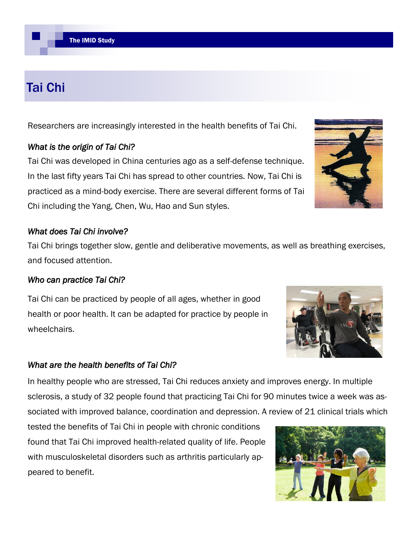# Tai Chi

Researchers are increasingly interested in the health benefits of Tai Chi.

# *What is the origin of Tai Chi?*

Tai Chi was developed in China centuries ago as a self-defense technique. In the last fifty years Tai Chi has spread to other countries. Now, Tai Chi is practiced as a mind-body exercise. There are several different forms of Tai Chi including the Yang, Chen, Wu, Hao and Sun styles.

# *What does Tai Chi involve?*

Tai Chi brings together slow, gentle and deliberative movements, as well as breathing exercises, and focused attention.

# *Who can practice Tai Chi?*

Tai Chi can be practiced by people of all ages, whether in good health or poor health. It can be adapted for practice by people in wheelchairs.

# *What are the health benefits of Tai Chi?*

In healthy people who are stressed, Tai Chi reduces anxiety and improves energy. In multiple sclerosis, a study of 32 people found that practicing Tai Chi for 90 minutes twice a week was associated with improved balance, coordination and depression. A review of 21 clinical trials which

tested the benefits of Tai Chi in people with chronic conditions found that Tai Chi improved health-related quality of life. People with musculoskeletal disorders such as arthritis particularly appeared to benefit.